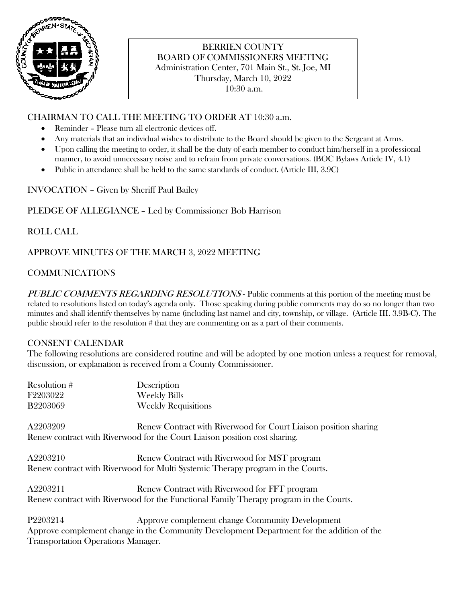

## BERRIEN COUNTY BOARD OF COMMISSIONERS MEETING Administration Center, 701 Main St., St. Joe, MI Thursday, March 10, 2022 10:30 a.m.

# CHAIRMAN TO CALL THE MEETING TO ORDER AT 10:30 a.m.

- Reminder Please turn all electronic devices off.
- Any materials that an individual wishes to distribute to the Board should be given to the Sergeant at Arms.
- Upon calling the meeting to order, it shall be the duty of each member to conduct him/herself in a professional manner, to avoid unnecessary noise and to refrain from private conversations. (BOC Bylaws Article IV, 4.1)
- Public in attendance shall be held to the same standards of conduct. (Article III, 3.9C)

INVOCATION – Given by Sheriff Paul Bailey

## PLEDGE OF ALLEGIANCE – Led by Commissioner Bob Harrison

## ROLL CALL

## APPROVE MINUTES OF THE MARCH 3, 2022 MEETING

## COMMUNICATIONS

PUBLIC COMMENTS REGARDING RESOLUTIONS - Public comments at this portion of the meeting must be related to resolutions listed on today's agenda only. Those speaking during public comments may do so no longer than two minutes and shall identify themselves by name (including last name) and city, township, or village. (Article III. 3.9B-C). The public should refer to the resolution # that they are commenting on as a part of their comments.

## CONSENT CALENDAR

The following resolutions are considered routine and will be adopted by one motion unless a request for removal, discussion, or explanation is received from a County Commissioner.

| Resolution #                       | Description                                                                               |
|------------------------------------|-------------------------------------------------------------------------------------------|
| F2203022                           | <b>Weekly Bills</b>                                                                       |
| B2203069                           | <b>Weekly Requisitions</b>                                                                |
| A2203209                           | Renew Contract with Riverwood for Court Liaison position sharing                          |
|                                    | Renew contract with Riverwood for the Court Liaison position cost sharing.                |
| A2203210                           | Renew Contract with Riverwood for MST program                                             |
|                                    | Renew contract with Riverwood for Multi Systemic Therapy program in the Courts.           |
| A2203211                           | Renew Contract with Riverwood for FFT program                                             |
|                                    | Renew contract with Riverwood for the Functional Family Therapy program in the Courts.    |
| P2203214                           | Approve complement change Community Development                                           |
|                                    | Approve complement change in the Community Development Department for the addition of the |
| Transportation Operations Manager. |                                                                                           |